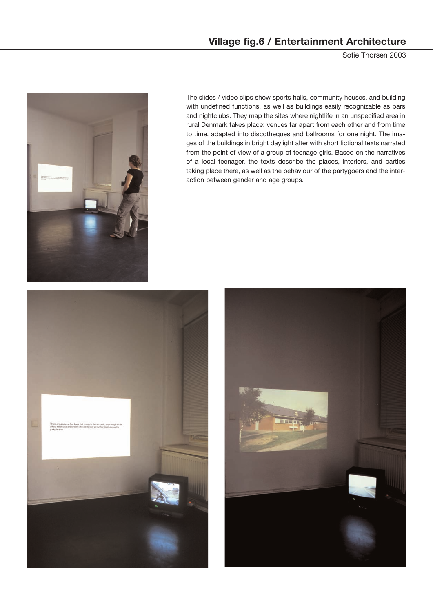## **Village fig.6 / Entertainment Architecture**

Sofie Thorsen 2003



The slides / video clips show sports halls, community houses, and building with undefined functions, as well as buildings easily recognizable as bars and nightclubs. They map the sites where nightlife in an unspecified area in rural Denmark takes place: venues far apart from each other and from time to time, adapted into discotheques and ballrooms for one night. The images of the buildings in bright daylight alter with short fictional texts narrated from the point of view of a group of teenage girls. Based on the narratives of a local teenager, the texts describe the places, interiors, and parties taking place there, as well as the behaviour of the partygoers and the interaction between gender and age groups.